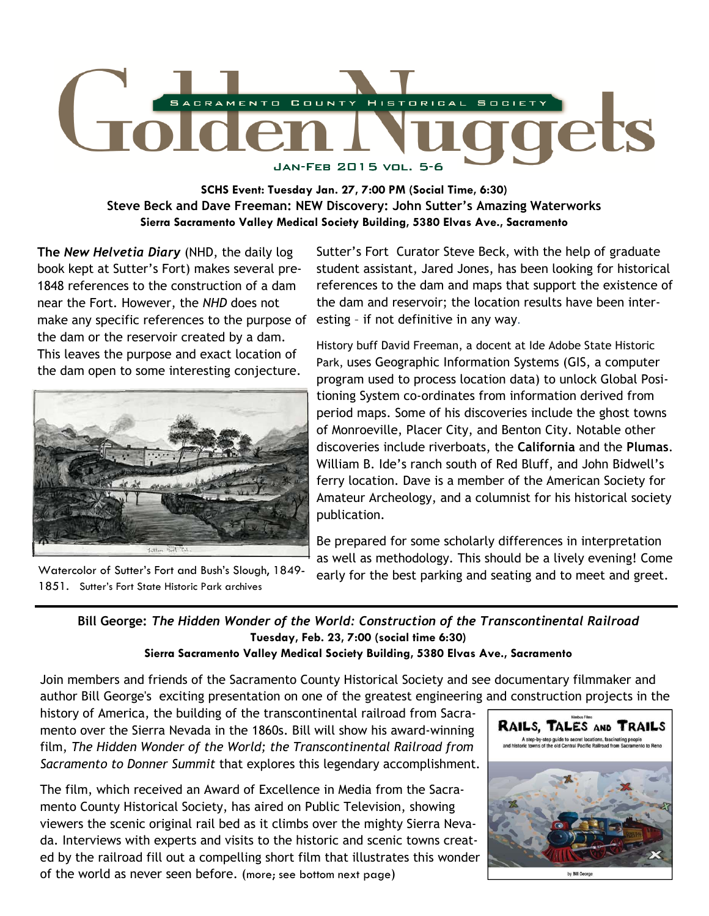

**SCHS Event: Tuesday Jan. 27, 7:00 PM (Social Time, 6:30) Steve Beck and Dave Freeman: NEW Discovery: John Sutter's Amazing Waterworks Sierra Sacramento Valley Medical Society Building, 5380 Elvas Ave., Sacramento** 

**The** *New Helvetia Diary* (NHD, the daily log book kept at Sutter's Fort) makes several pre-1848 references to the construction of a dam near the Fort. However, the *NHD* does not make any specific references to the purpose of esting - if not definitive in any way. the dam or the reservoir created by a dam. This leaves the purpose and exact location of the dam open to some interesting conjecture.



Watercolor of Sutter's Fort and Bush's Slough, 1849- 1851. Sutter's Fort State Historic Park archives

Sutter's Fort Curator Steve Beck, with the help of graduate student assistant, Jared Jones, has been looking for historical references to the dam and maps that support the existence of the dam and reservoir; the location results have been inter-

History buff David Freeman, a docent at Ide Adobe State Historic Park, uses Geographic Information Systems (GIS, a computer program used to process location data) to unlock Global Positioning System co-ordinates from information derived from period maps. Some of his discoveries include the ghost towns of Monroeville, Placer City, and Benton City. Notable other discoveries include riverboats, the **California** and the **Plumas**. William B. Ide's ranch south of Red Bluff, and John Bidwell's ferry location. Dave is a member of the American Society for Amateur Archeology, and a columnist for his historical society publication.

Be prepared for some scholarly differences in interpretation as well as methodology. This should be a lively evening! Come early for the best parking and seating and to meet and greet.

## **Bill George:** *The Hidden Wonder of the World: Construction of the Transcontinental Railroad*  **Tuesday, Feb. 23, 7:00 (social time 6:30) Sierra Sacramento Valley Medical Society Building, 5380 Elvas Ave., Sacramento**

Join members and friends of the Sacramento County Historical Society and see documentary filmmaker and author Bill George's exciting presentation on one of the greatest engineering and construction projects in the

history of America, the building of the transcontinental railroad from Sacramento over the Sierra Nevada in the 1860s. Bill will show his award-winning film, *The Hidden Wonder of the World; the Transcontinental Railroad from Sacramento to Donner Summit* that explores this legendary accomplishment.

The film, which received an Award of Excellence in Media from the Sacramento County Historical Society, has aired on Public Television, showing viewers the scenic original rail bed as it climbs over the mighty Sierra Nevada. Interviews with experts and visits to the historic and scenic towns created by the railroad fill out a compelling short film that illustrates this wonder of the world as never seen before. (more; see bottom next page)

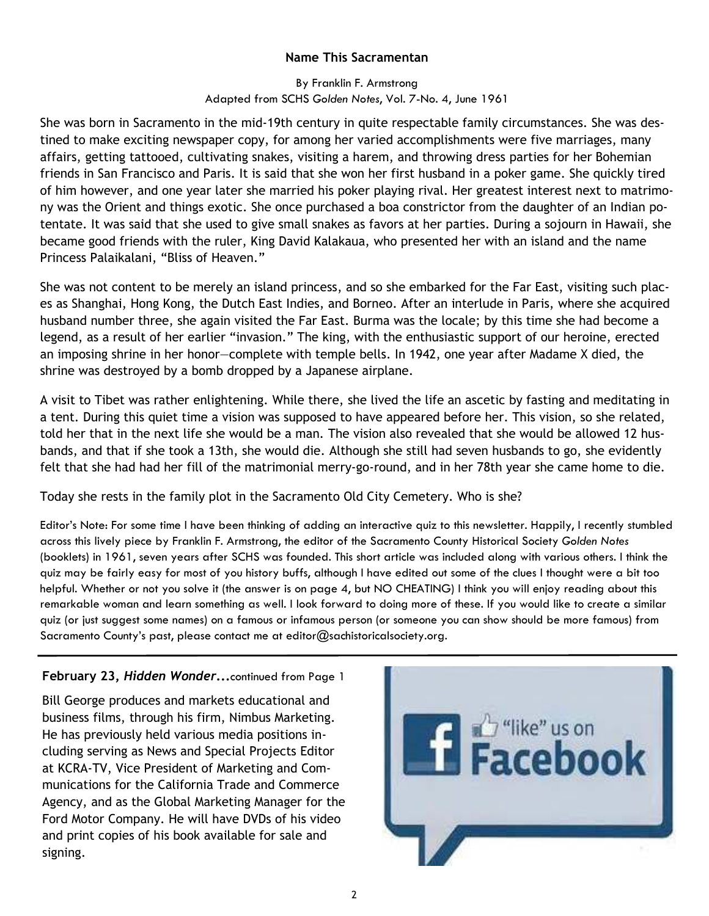# **Name This Sacramentan**

# By Franklin F. Armstrong Adapted from SCHS *Golden Notes*, Vol. 7-No. 4, June 1961

She was born in Sacramento in the mid-19th century in quite respectable family circumstances. She was destined to make exciting newspaper copy, for among her varied accomplishments were five marriages, many affairs, getting tattooed, cultivating snakes, visiting a harem, and throwing dress parties for her Bohemian friends in San Francisco and Paris. It is said that she won her first husband in a poker game. She quickly tired of him however, and one year later she married his poker playing rival. Her greatest interest next to matrimony was the Orient and things exotic. She once purchased a boa constrictor from the daughter of an Indian potentate. It was said that she used to give small snakes as favors at her parties. During a sojourn in Hawaii, she became good friends with the ruler, King David Kalakaua, who presented her with an island and the name Princess Palaikalani, "Bliss of Heaven."

She was not content to be merely an island princess, and so she embarked for the Far East, visiting such places as Shanghai, Hong Kong, the Dutch East Indies, and Borneo. After an interlude in Paris, where she acquired husband number three, she again visited the Far East. Burma was the locale; by this time she had become a legend, as a result of her earlier "invasion." The king, with the enthusiastic support of our heroine, erected an imposing shrine in her honor—complete with temple bells. In 1942, one year after Madame X died, the shrine was destroyed by a bomb dropped by a Japanese airplane.

A visit to Tibet was rather enlightening. While there, she lived the life an ascetic by fasting and meditating in a tent. During this quiet time a vision was supposed to have appeared before her. This vision, so she related, told her that in the next life she would be a man. The vision also revealed that she would be allowed 12 husbands, and that if she took a 13th, she would die. Although she still had seven husbands to go, she evidently felt that she had had her fill of the matrimonial merry-go-round, and in her 78th year she came home to die.

Today she rests in the family plot in the Sacramento Old City Cemetery. Who is she?

Editor's Note: For some time I have been thinking of adding an interactive quiz to this newsletter. Happily, I recently stumbled across this lively piece by Franklin F. Armstrong, the editor of the Sacramento County Historical Society *Golden Notes*  (booklets) in 1961, seven years after SCHS was founded. This short article was included along with various others. I think the quiz may be fairly easy for most of you history buffs, although I have edited out some of the clues I thought were a bit too helpful. Whether or not you solve it (the answer is on page 4, but NO CHEATING) I think you will enjoy reading about this remarkable woman and learn something as well. I look forward to doing more of these. If you would like to create a similar quiz (or just suggest some names) on a famous or infamous person (or someone you can show should be more famous) from Sacramento County's past, please contact me at editor@sachistoricalsociety.org.

# **February 23,** *Hidden Wonder***...**continued from Page 1

Bill George produces and markets educational and business films, through his firm, Nimbus Marketing. He has previously held various media positions including serving as News and Special Projects Editor at KCRA-TV, Vice President of Marketing and Communications for the California Trade and Commerce Agency, and as the Global Marketing Manager for the Ford Motor Company. He will have DVDs of his video and print copies of his book available for sale and signing.

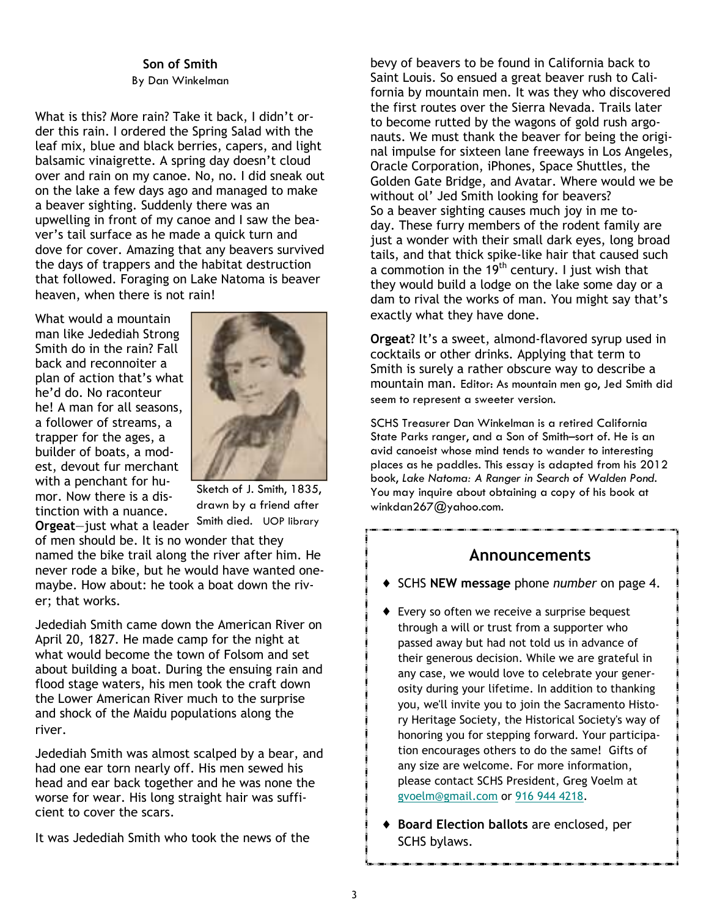### **Son of Smith**  By Dan Winkelman

What is this? More rain? Take it back, I didn't order this rain. I ordered the Spring Salad with the leaf mix, blue and black berries, capers, and light balsamic vinaigrette. A spring day doesn't cloud over and rain on my canoe. No, no. I did sneak out on the lake a few days ago and managed to make a beaver sighting. Suddenly there was an upwelling in front of my canoe and I saw the beaver's tail surface as he made a quick turn and dove for cover. Amazing that any beavers survived the days of trappers and the habitat destruction that followed. Foraging on Lake Natoma is beaver heaven, when there is not rain!

What would a mountain man like Jedediah Strong Smith do in the rain? Fall back and reconnoiter a plan of action that's what he'd do. No raconteur he! A man for all seasons, a follower of streams, a trapper for the ages, a builder of boats, a modest, devout fur merchant with a penchant for humor. Now there is a distinction with a nuance.



**Orgeat**—just what a leader Sketch of J. Smith, 1835, drawn by a friend after Smith died. UOP library

of men should be. It is no wonder that they named the bike trail along the river after him. He never rode a bike, but he would have wanted onemaybe. How about: he took a boat down the river; that works.

Jedediah Smith came down the American River on April 20, 1827. He made camp for the night at what would become the town of Folsom and set about building a boat. During the ensuing rain and flood stage waters, his men took the craft down the Lower American River much to the surprise and shock of the Maidu populations along the river.

Jedediah Smith was almost scalped by a bear, and had one ear torn nearly off. His men sewed his head and ear back together and he was none the worse for wear. His long straight hair was sufficient to cover the scars.

It was Jedediah Smith who took the news of the

bevy of beavers to be found in California back to Saint Louis. So ensued a great beaver rush to California by mountain men. It was they who discovered the first routes over the Sierra Nevada. Trails later to become rutted by the wagons of gold rush argonauts. We must thank the beaver for being the original impulse for sixteen lane freeways in Los Angeles, Oracle Corporation, iPhones, Space Shuttles, the Golden Gate Bridge, and Avatar. Where would we be without ol' Jed Smith looking for beavers? So a beaver sighting causes much joy in me today. These furry members of the rodent family are just a wonder with their small dark eyes, long broad tails, and that thick spike-like hair that caused such a commotion in the 19<sup>th</sup> century. I just wish that they would build a lodge on the lake some day or a dam to rival the works of man. You might say that's exactly what they have done.

**Orgeat**? It's a sweet, almond-flavored syrup used in cocktails or other drinks. Applying that term to Smith is surely a rather obscure way to describe a mountain man. Editor: As mountain men go, Jed Smith did seem to represent a sweeter version.

SCHS Treasurer Dan Winkelman is a retired California State Parks ranger, and a Son of Smith–sort of. He is an avid canoeist whose mind tends to wander to interesting places as he paddles. This essay is adapted from his 2012 book, *Lake Natoma: A Ranger in Search of Walden Pond.*  You may inquire about obtaining a copy of his book at winkdan267@yahoo.com.

# **Announcements**

- ♦ SCHS **NEW message** phone *number* on page 4.
- ♦ Every so often we receive a surprise bequest through a will or trust from a supporter who passed away but had not told us in advance of their generous decision. While we are grateful in any case, we would love to celebrate your generosity during your lifetime. In addition to thanking you, we'll invite you to join the Sacramento History Heritage Society, the Historical Society's way of honoring you for stepping forward. Your participation encourages others to do the same! Gifts of any size are welcome. For more information, please contact SCHS President, Greg Voelm at gvoelm@gmail.com or 916 944 4218.
- ♦ **Board Election ballots** are enclosed, per SCHS bylaws.